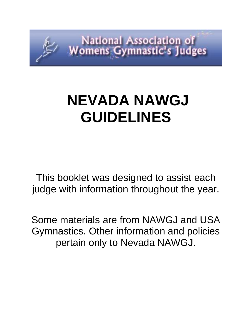

# **NEVADA NAWGJ GUIDELINES**

This booklet was designed to assist each judge with information throughout the year.

Some materials are from NAWGJ and USA Gymnastics. Other information and policies pertain only to Nevada NAWGJ.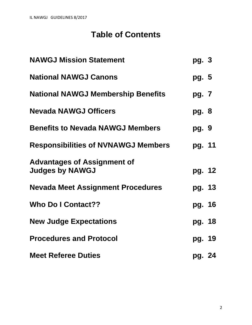# **Table of Contents**

| <b>NAWGJ Mission Statement</b>                               | pg. 3  |  |
|--------------------------------------------------------------|--------|--|
| <b>National NAWGJ Canons</b>                                 | pg. 5  |  |
| <b>National NAWGJ Membership Benefits</b>                    | pg. 7  |  |
| <b>Nevada NAWGJ Officers</b>                                 | pg. 8  |  |
| <b>Benefits to Nevada NAWGJ Members</b>                      | pg. 9  |  |
| <b>Responsibilities of NVNAWGJ Members</b>                   | pg. 11 |  |
| <b>Advantages of Assignment of</b><br><b>Judges by NAWGJ</b> | pg. 12 |  |
| <b>Nevada Meet Assignment Procedures</b>                     | pg. 13 |  |
| <b>Who Do I Contact??</b>                                    | pg. 16 |  |
| <b>New Judge Expectations</b>                                | pg. 18 |  |
| <b>Procedures and Protocol</b>                               | pg. 19 |  |
| <b>Meet Referee Duties</b>                                   | pg. 24 |  |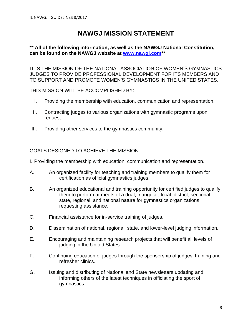# **NAWGJ MISSION STATEMENT**

# **\*\* All of the following information, as well as the NAWGJ National Constitution, can be found on the NAWGJ website at [www.nawgj.com\\*](http://www.nawgj.com/)\***

IT IS THE MISSION OF THE NATIONAL ASSOCIATION OF WOMEN'S GYMNASTICS JUDGES TO PROVIDE PROFESSIONAL DEVELOPMENT FOR ITS MEMBERS AND TO SUPPORT AND PROMOTE WOMEN'S GYMNASTICS IN THE UNITED STATES.

THIS MISSION WILL BE ACCOMPLISHED BY:

- I. Providing the membership with education, communication and representation.
- II. Contracting judges to various organizations with gymnastic programs upon request.
- III. Providing other services to the gymnastics community.

# GOALS DESIGNED TO ACHIEVE THE MISSION

- I. Providing the membership with education, communication and representation.
- A. An organized facility for teaching and training members to qualify them for certification as official gymnastics judges.
- B. An organized educational and training opportunity for certified judges to qualify them to perform at meets of a dual, triangular, local, district, sectional, state, regional, and national nature for gymnastics organizations requesting assistance.
- C. Financial assistance for in-service training of judges.
- D. Dissemination of national, regional, state, and lower-level judging information.
- E. Encouraging and maintaining research projects that will benefit all levels of judging in the United States.
- F. Continuing education of judges through the sponsorship of judges' training and refresher clinics.
- G. Issuing and distributing of National and State newsletters updating and informing others of the latest techniques in officiating the sport of gymnastics.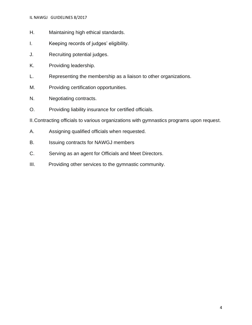- H. Maintaining high ethical standards.
- I. Keeping records of judges' eligibility.
- J. Recruiting potential judges.
- K. Providing leadership.
- L. Representing the membership as a liaison to other organizations.
- M. Providing certification opportunities.
- N. Negotiating contracts.
- O. Providing liability insurance for certified officials.

II.Contracting officials to various organizations with gymnastics programs upon request.

- A. Assigning qualified officials when requested.
- B. Issuing contracts for NAWGJ members
- C. Serving as an agent for Officials and Meet Directors.
- III. Providing other services to the gymnastic community.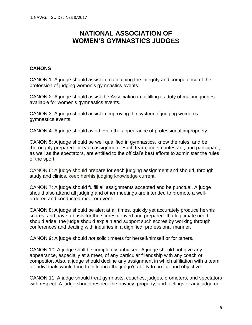# **NATIONAL ASSOCIATION OF WOMEN'S GYMNASTICS JUDGES**

# **CANONS**

CANON 1: A judge should assist in maintaining the integrity and competence of the profession of judging women's gymnastics events.

CANON 2: A judge should assist the Association in fulfilling its duty of making judges available for women's gymnastics events.

CANON 3: A judge should assist in improving the system of judging women's gymnastics events.

CANON 4: A judge should avoid even the appearance of professional impropriety.

CANON 5: A judge should be well qualified in gymnastics, know the rules, and be thoroughly prepared for each assignment. Each team, meet contestant, and participant, as well as the spectators, are entitled to the official's best efforts to administer the rules of the sport.

CANON 6: A judge should prepare for each judging assignment and should, through study and clinics, keep her/his judging knowledge current.

CANON 7: A judge should fulfill all assignments accepted and be punctual. A judge should also attend all judging and other meetings are intended to promote a wellordered and conducted meet or event.

CANON 8: A judge should be alert at all times, quickly yet accurately produce her/his scores, and have a basis for the scores derived and prepared. If a legitimate need should arise, the judge should explain and support such scores by working through conferences and dealing with inquiries in a dignified, professional manner.

CANON 9: A judge should *not* solicit meets for herself/himself or for others.

CANON 10: A judge shall be completely unbiased. A judge should not give any appearance, especially at a meet, of any particular friendship with any coach or competitor. Also, a judge should decline any assignment in which affiliation with a team or individuals would tend to influence the judge's ability to be fair and objective.

CANON 11: A judge should treat gymnasts, coaches, judges, promoters, and spectators with respect. A judge should respect the privacy, property, and feelings of any judge or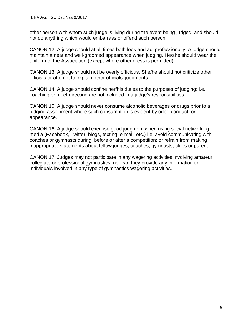other person with whom such judge is living during the event being judged, and should not do anything which would embarrass or offend such person.

CANON 12: A judge should at all times both look and act professionally. A judge should maintain a neat and well-groomed appearance when judging. He/she should wear the uniform of the Association (except where other dress is permitted).

CANON 13: A judge should not be overly officious. She/he should not criticize other officials or attempt to explain other officials' judgments.

CANON 14: A judge should confine her/his duties to the purposes of judging; i.e., coaching or meet directing are not included in a judge's responsibilities.

CANON 15: A judge should never consume alcoholic beverages or drugs prior to a judging assignment where such consumption is evident by odor, conduct, or appearance.

CANON 16: A judge should exercise good judgment when using social networking media (Facebook, Twitter, blogs, texting, e-mail, etc.) i.e. avoid communicating with coaches or gymnasts during, before or after a competition; or refrain from making inappropriate statements about fellow judges, coaches, gymnasts, clubs or parent.

CANON 17: Judges may not participate in any wagering activities involving amateur, collegiate or professional gymnastics, nor can they provide any information to individuals involved in any type of gymnastics wagering activities.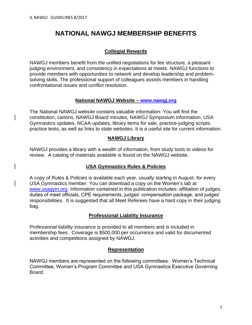# **NATIONAL NAWGJ MEMBERSHIP BENEFITS**

# **Collegial Rewards**

NAWGJ members benefit from the unified negotiations for fee structure, a pleasant judging environment, and consistency in expectations at meets. NAWGJ functions to provide members with opportunities to network and develop leadership and problemsolving skills. The professional support of colleagues assists members in handling confrontational issues and conflict resolution.

#### **National NAWGJ Website – [www.nawgj.org](http://www.nawgj.org/)**

The National NAWGJ website contains valuable information. You will find the constitution, canons, NAWGJ Board minutes, NAWGJ Symposium information, USA Gymnastics updates, NCAA updates, library items for sale, practice-judging scripts, practice tests, as well as links to state websites. It is a useful site for current information.

#### **NAWGJ Library**

NAWGJ provides a library with a wealth of information, from study tools to videos for review. A catalog of materials available is found on the NAWGJ website.

# **USA Gymnastics Rules & Policies**

A copy of Rules & Policies is available each year, usually starting in August, for every USA Gymnastics member. You can download a copy on the Women's tab at [www.usagym.org.](http://www.usagym.org/) Information contained in this publication includes: affiliation of judges, duties of meet officials, CPE requirements, judges' compensation package, and judges' responsibilities. It is suggested that all Meet Referees have a hard copy in their judging bag.

# **Professional Liability Insurance**

Professional liability insurance is provided to all members and is included in membership fees. Coverage is \$500,000 per occurrence and valid for documented activities and competitions assigned by NAWGJ.

#### **Representation**

NAWGJ members are represented on the following committees: Women's Technical Committee, Women's Program Committee and USA Gymnastics Executive Governing Board.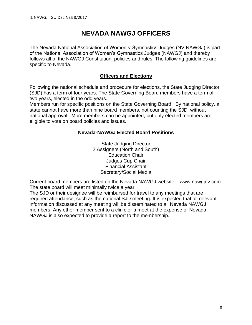# **NEVADA NAWGJ OFFICERS**

The Nevada National Association of Women's Gymnastics Judges (NV NAWGJ) is part of the National Association of Women's Gymnastics Judges (NAWGJ) and thereby follows all of the NAWGJ Constitution, policies and rules. The following guidelines are specific to Nevada.

# **Officers and Elections**

Following the national schedule and procedure for elections, the State Judging Director (SJD) has a term of four years. The State Governing Board members have a term of two years, elected in the odd years.

Members run for specific positions on the State Governing Board. By national policy, a state cannot have more than nine board members, not counting the SJD, without national approval. More members can be appointed, but only elected members are eligible to vote on board policies and issues.

#### **Nevada-NAWGJ Elected Board Positions**

State Judging Director 2 Assigners (North and South) Education Chair Judges Cup Chair Financial Assistant Secretary/Social Media

Current board members are listed on the Nevada NAWGJ website – www.nawgjnv.com. The state board will meet minimally twice a year.

The SJD or their designee will be reimbursed for travel to any meetings that are required attendance, such as the national SJD meeting. It is expected that all relevant information discussed at any meeting will be disseminated to all Nevada NAWGJ members. Any other member sent to a clinic or a meet at the expense of Nevada NAWGJ is also expected to provide a report to the membership.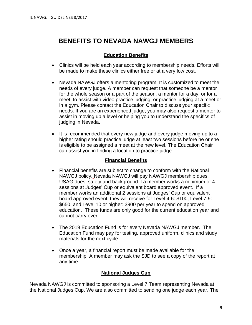# **BENEFITS TO NEVADA NAWGJ MEMBERS**

# **Education Benefits**

- Clinics will be held each year according to membership needs. Efforts will be made to make these clinics either free or at a very low cost.
- Nevada NAWGJ offers a mentoring program. It is customized to meet the needs of every judge. A member can request that someone be a mentor for the whole season or a part of the season, a mentor for a day, or for a meet, to assist with video practice judging, or practice judging at a meet or in a gym. Please contact the Education Chair to discuss your specific needs. If you are an experienced judge, you may also request a mentor to assist in moving up a level or helping you to understand the specifics of judging in Nevada.
- It is recommended that every new judge and every judge moving up to a higher rating should practice judge at least two sessions before he or she is eligible to be assigned a meet at the new level. The Education Chair can assist you in finding a location to practice judge.

#### **Financial Benefits**

- Financial benefits are subject to change to conform with the National NAWGJ policy. Nevada NAWGJ will pay NAWGJ membership dues, USAG dues, safety and background if a member works a minimum of 4 sessions at Judges' Cup or equivalent board approved event. If a member works an additional 2 sessions at Judges' Cup or equivalent board approved event, they will receive for Level 4-6: \$100, Level 7-9: \$650, and Level 10 or higher: \$900 per year to spend on approved education. These funds are only good for the current education year and cannot carry over.
- The 2019 Education Fund is for every Nevada NAWGJ member. The Education Fund may pay for testing, approved uniform, clinics and study materials for the next cycle.
- Once a year, a financial report must be made available for the membership. A member may ask the SJD to see a copy of the report at any time.

#### **National Judges Cup**

Nevada NAWGJ is committed to sponsoring a Level 7 Team representing Nevada at the National Judges Cup. We are also committed to sending one judge each year. The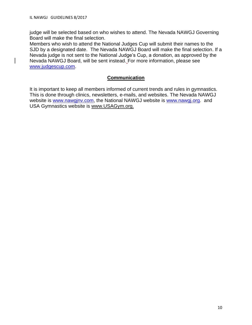judge will be selected based on who wishes to attend. The Nevada NAWGJ Governing Board will make the final selection.

Members who wish to attend the National Judges Cup will submit their names to the SJD by a designated date. The Nevada NAWGJ Board will make the final selection. If a Nevada judge is not sent to the National Judge's Cup, a donation, as approved by the Nevada NAWGJ Board, will be sent instead. For more information, please see [www.judgescup.com.](http://www.judgescup.com/)

# **Communication**

It is important to keep all members informed of current trends and rules in gymnastics. This is done through clinics, newsletters, e-mails, and websites. The Nevada NAWGJ website is www.nawginv.com, the National NAWGJ website is www.nawgi.org. and USA Gymnastics website is www.USAGym.org.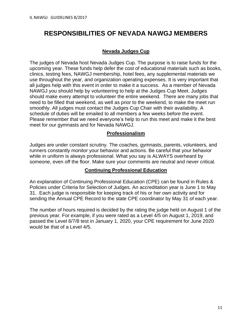# **RESPONSIBILITIES OF NEVADA NAWGJ MEMBERS**

#### **Nevada Judges Cup**

The judges of Nevada host Nevada Judges Cup. The purpose is to raise funds for the upcoming year. These funds help defer the cost of educational materials such as books, clinics, testing fees, NAWGJ membership, hotel fees, any supplemental materials we use throughout the year, and organization operating expenses. It is very important that all judges help with this event in order to make it a success. As a member of Nevada NAWGJ you should help by volunteering to help at the Judges Cup Meet. Judges should make every attempt to volunteer the entire weekend. There are many jobs that need to be filled that weekend, as well as prior to the weekend, to make the meet run smoothly. All judges must contact the Judges Cup Chair with their availability. A schedule of duties will be emailed to all members a few weeks before the event. Please remember that we need everyone's help to run this meet and make it the best meet for our gymnasts and for Nevada NAWGJ.

#### **Professionalism**

Judges are under constant scrutiny. The coaches, gymnasts, parents, volunteers, and runners constantly monitor your behavior and actions. Be careful that your behavior while in uniform is always professional. What you say is ALWAYS overheard by someone, even off the floor. Make sure your comments are neutral and never critical.

#### **Continuing Professional Education**

An explanation of Continuing Professional Education (CPE) can be found in Rules & Policies under Criteria for Selection of Judges. An accreditation year is June 1 to May 31. Each judge is responsible for keeping track of his or her own activity and for sending the Annual CPE Record to the state CPE coordinator by May 31 of each year.

The number of hours required is decided by the rating the judge held on August 1 of the previous year. For example, if you were rated as a Level 4/5 on August 1, 2019, and passed the Level 6/7/8 test in January 1, 2020, your CPE requirement for June 2020 would be that of a Level 4/5.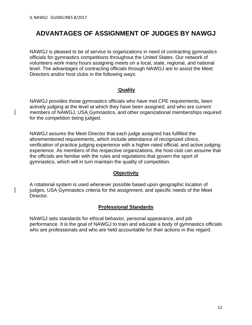# **ADVANTAGES OF ASSIGNMENT OF JUDGES BY NAWGJ**

NAWGJ is pleased to be of service to organizations in need of contracting gymnastics officials for gymnastics competitions throughout the United States. Our network of volunteers work many hours assigning meets on a local, state, regional, and national level. The advantages of contracting officials through NAWGJ are to assist the Meet Directors and/or host clubs in the following ways:

# **Quality**

NAWGJ provides those gymnastics officials who have met CPE requirements, been actively judging at the level at which they have been assigned, and who are current members of NAWGJ, USA Gymnastics, and other organizational memberships required for the competition being judged.

NAWGJ assures the Meet Director that each judge assigned has fulfilled the aforementioned requirements, which include attendance of recognized clinics, verification of practice judging experience with a higher-rated official, and active judging experience. As members of the respective organizations, the host club can assume that the officials are familiar with the rules and regulations that govern the sport of gymnastics, which will in turn maintain the quality of competition.

# **Objectivity**

A rotational system is used whenever possible based upon geographic location of judges, USA Gymnastics criteria for the assignment, and specific needs of the Meet Director.

# **Professional Standards**

NAWGJ sets standards for ethical behavior, personal appearance, and job performance. It is the goal of NAWGJ to train and educate a body of gymnastics officials who are professionals and who are held accountable for their actions in this regard.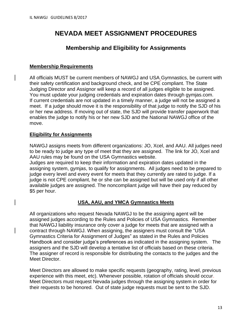# **NEVADA MEET ASSIGNMENT PROCEDURES**

# **Membership and Eligibility for Assignments**

#### **Membership Requirements**

All officials MUST be current members of NAWGJ and USA Gymnastics, be current with their safety certification and background check, and be CPE compliant. The State Judging Director and Assignor will keep a record of all judges eligible to be assigned. You must update your judging credentials and expiration dates through gymjas.com. If current credentials are not updated in a timely manner, a judge will not be assigned a meet. If a judge should move it is the responsibility of that judge to notify the SJD of his or her new address. If moving out of state, the SJD will provide transfer paperwork that enables the judge to notify his or her new SJD and the National NAWGJ office of the move.

#### **Eligibility for Assignments**

NAWGJ assigns meets from different organizations: JO, Xcel, and AAU. All judges need to be ready to judge any type of meet that they are assigned. The link for JO, Xcel and AAU rules may be found on the USA Gymnastics website.

Judges are required to keep their information and expiration dates updated in the assigning system, gymjas, to qualify for assignments. All judges need to be prepared to judge every level and every event for meets that they currently are rated to judge. If a judge is not CPE compliant, he or she can be assigned but will be used only if all other available judges are assigned. The noncompliant judge will have their pay reduced by \$5 per hour.

# **USA, AAU, and YMCA Gymnastics Meets**

All organizations who request Nevada NAWGJ to be the assigning agent will be assigned judges according to the Rules and Policies of USA Gymnastics. Remember that NAWGJ liability insurance only cover a judge for meets that are assigned with a contract through NAWGJ. When assigning, the assigners must consult the "USA Gymnastics Criteria for Assignment of Judges" as stated in the Rules and Policies Handbook and consider judge's preferences as indicated in the assigning system. The assigners and the SJD will develop a tentative list of officials based on these criteria. The assigner of record is responsible for distributing the contacts to the judges and the Meet Director.

Meet Directors are allowed to make specific requests (geography, rating, level, previous experience with this meet, etc). Whenever possible, rotation of officials should occur. Meet Directors must request Nevada judges through the assigning system in order for their requests to be honored. Out of state judge requests must be sent to the SJD.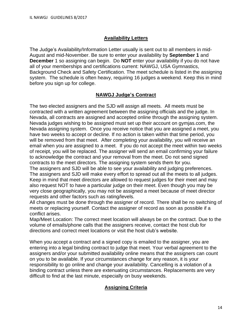# **Availability Letters**

The Judge's Availability/Information Letter usually is sent out to all members in mid-August and mid-November. Be sure to enter your availability by **September 1** and **December** 1 so assigning can begin. Do **NOT** enter your availability if you do not have all of your memberships and certifications current: NAWGJ, USA Gymnastics, Background Check and Safety Certification. The meet schedule is listed in the assigning system. The schedule is often heavy, requiring 16 judges a weekend. Keep this in mind before you sign up for college.

# **NAWGJ Judge's Contract**

The two elected assigners and the SJD will assign all meets. All meets must be contracted with a written agreement between the assigning officials and the judge. In Nevada, all contracts are assigned and accepted online through the assigning system. Nevada judges wishing to be assigned must set up their account on gymjas.com, the Nevada assigning system. Once you receive notice that you are assigned a meet, you have two weeks to accept or decline. If no action is taken within that time period, you will be removed from that meet. After completing your availability, you will receive an email when you are assigned to a meet. If you do not accept the meet within two weeks of receipt, you will be replaced. The assigner will send an email confirming your failure to acknowledge the contract and your removal from the meet. Do not send signed contracts to the meet directors. The assigning system sends them for you.

The assigners and SJD will be able to see your availability and judging preferences. The assigners and SJD will make every effort to spread out all the meets to all judges. Keep in mind that meet directors are allowed to request judges for their meet and may also request NOT to have a particular judge on their meet. Even though you may be very close geographically, you may not be assigned a meet because of meet director requests and other factors such as rating/levels.

All changes must be done through the assigner of record. There shall be no switching of meets or replacing yourself. Contact the assigner of record as soon as possible if a conflict arises.

Map/Meet Location: The correct meet location will always be on the contract. Due to the volume of emails/phone calls that the assigners receive, contact the host club for directions and correct meet locations or visit the host club's website.

When you accept a contract and a signed copy is emailed to the assigner, you are entering into a legal binding contract to judge that meet. Your verbal agreement to the assigners and/or your submitted availability online means that the assigners can count on you to be available. If your circumstances change for any reason, it is your responsibility to go online and change your availability. Cancelling is a violation of a binding contract unless there are extenuating circumstances. Replacements are very difficult to find at the last minute, especially on busy weekends.

# **Assigning Criteria**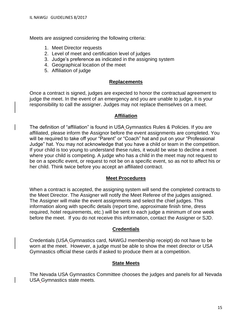Meets are assigned considering the following criteria:

- 1. Meet Director requests
- 2. Level of meet and certification level of judges
- 3. Judge's preference as indicated in the assigning system
- 4. Geographical location of the meet
- 5. Affiliation of judge

#### **Replacements**

Once a contract is signed, judges are expected to honor the contractual agreement to judge the meet. In the event of an emergency and you are unable to judge, it is your responsibility to call the assigner. Judges may not replace themselves on a meet.

#### **Affiliation**

The definition of "affiliation" is found in USA Gymnastics Rules & Policies. If you are affiliated, please inform the Assignor before the event assignments are completed. You will be required to take off your "Parent" or "Coach" hat and put on your "Professional Judge" hat. You may not acknowledge that you have a child or team in the competition. If your child is too young to understand these rules, it would be wise to decline a meet where your child is competing. A judge who has a child in the meet may not request to be on a specific event, or request to not be on a specific event, so as not to affect his or her child. Think twice before you accept an affiliated contract.

#### **Meet Procedures**

When a contract is accepted, the assigning system will send the completed contracts to the Meet Director. The Assigner will notify the Meet Referee of the judges assigned. The Assigner will make the event assignments and select the chief judges. This information along with specific details (report time, approximate finish time, dress required, hotel requirements, etc.) will be sent to each judge a minimum of one week before the meet. If you do not receive this information, contact the Assigner or SJD.

#### **Credentials**

Credentials (USA Gymnastics card, NAWGJ membership receipt) do not have to be worn at the meet. However, a judge must be able to show the meet director or USA Gymnastics official these cards if asked to produce them at a competition.

#### **State Meets**

The Nevada USA Gymnastics Committee chooses the judges and panels for all Nevada USA Gymnastics state meets.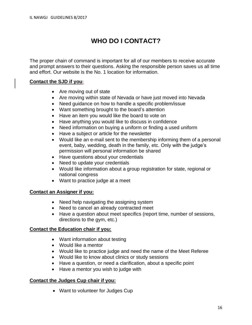# **WHO DO I CONTACT?**

The proper chain of command is important for all of our members to receive accurate and prompt answers to their questions. Asking the responsible person saves us all time and effort. Our website is the No. 1 location for information.

#### **Contact the SJD if you:**

- Are moving out of state
- Are moving within state of Nevada or have just moved into Nevada
- Need guidance on how to handle a specific problem/issue
- Want something brought to the board's attention
- Have an item you would like the board to vote on
- Have anything you would like to discuss in confidence
- Need information on buying a uniform or finding a used uniform
- Have a subject or article for the newsletter
- Would like an e-mail sent to the membership informing them of a personal event, baby, wedding, death in the family, etc. Only with the judge's permission will personal information be shared
- Have questions about your credentials
- Need to update your credentials
- Would like information about a group registration for state, regional or national congress
- Want to practice judge at a meet

# **Contact an Assigner if you:**

- Need help navigating the assigning system
- Need to cancel an already contracted meet
- Have a question about meet specifics (report time, number of sessions, directions to the gym, etc.)

#### **Contact the Education chair if you:**

- Want information about testing
- Would like a mentor
- Would like to practice judge and need the name of the Meet Referee
- Would like to know about clinics or study sessions
- Have a question, or need a clarification, about a specific point
- Have a mentor you wish to judge with

# **Contact the Judges Cup chair if you:**

• Want to volunteer for Judges Cup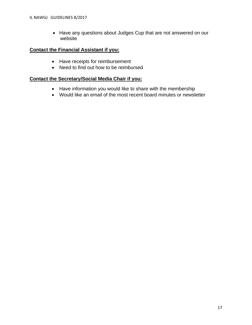• Have any questions about Judges Cup that are not answered on our website

# **Contact the Financial Assistant if you:**

- Have receipts for reimbursement
- Need to find out how to be reimbursed

#### **Contact the Secretary/Social Media Chair if you:**

- Have information you would like to share with the membership
- Would like an email of the most recent board minutes or newsletter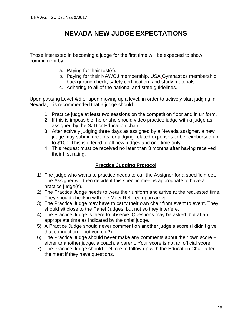# **NEVADA NEW JUDGE EXPECTATIONS**

Those interested in becoming a judge for the first time will be expected to show commitment by:

- a. Paying for their test(s).
- b. Paying for their NAWGJ membership, USA Gymnastics membership, background check, safety certification, and study materials.
- c. Adhering to all of the national and state guidelines.

Upon passing Level 4/5 or upon moving up a level, in order to actively start judging in Nevada, it is recommended that a judge should:

- 1. Practice judge at least two sessions on the competition floor and in uniform.
- 2. If this is impossible, he or she should video practice judge with a judge as assigned by the SJD or Education chair.
- 3. After actively judging three days as assigned by a Nevada assigner, a new judge may submit receipts for judging-related expenses to be reimbursed up to \$100. This is offered to all new judges and one time only.
- 4. This request must be received no later than 3 months after having received their first rating.

# **Practice Judging Protocol**

- 1) The judge who wants to practice needs to call the Assigner for a specific meet. The Assigner will then decide if this specific meet is appropriate to have a practice judge(s).
- 2) The Practice Judge needs to wear their uniform and arrive at the requested time. They should check in with the Meet Referee upon arrival.
- 3) The Practice Judge may have to carry their own chair from event to event. They should sit close to the Panel Judges, but not so they interfere.
- 4) The Practice Judge is there to observe. Questions may be asked, but at an appropriate time as indicated by the chief judge.
- 5) A Practice Judge should never comment on another judge's score (I didn't give that connection – but you did?)
- 6) The Practice Judge should never make any comments about their own score either to another judge, a coach, a parent. Your score is not an official score.
- 7) The Practice Judge should feel free to follow up with the Education Chair after the meet if they have questions.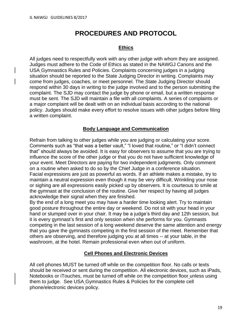# **PROCEDURES AND PROTOCOL**

# **Ethics**

All judges need to respectfully work with any other judge with whom they are assigned. Judges must adhere to the Code of Ethics as stated in the NAWGJ Canons and the USA Gymnastics Rules and Policies. Complaints concerning judges in a judging situation should be reported to the State Judging Director in writing. Complaints may come from judges, coaches, or meet personnel. The State Judging Director should respond within 30 days in writing to the judge involved and to the person submitting the complaint. The SJD may contact the judge by phone or email, but a written response must be sent. The SJD will maintain a file with all complaints. A series of complaints or a major complaint will be dealt with on an individual basis according to the national policy. Judges should make every effort to resolve issues with other judges before filing a written complaint.

# **Body Language and Communication**

Refrain from talking to other judges while you are judging or calculating your score. Comments such as "that was a better vault," "I loved that routine," or "I didn't connect that" should always be avoided. It is easy for observers to assume that you are trying to influence the score of the other judge or that you do not have sufficient knowledge of your event. Meet Directors are paying for two independent judgments. Only comment on a routine when asked to do so by the Chief Judge in a conference situation. Facial expressions are just as powerful as words. If an athlete makes a mistake, try to maintain a neutral expression even though it may be very difficult. Wrinkling your nose or sighing are all expressions easily picked up by observers. It is courteous to smile at the gymnast at the conclusion of the routine. Give her respect by having all judges acknowledge their signal when they are finished.

By the end of a long meet you may have a harder time looking alert. Try to maintain good posture throughout the entire day or weekend. Do not sit with your head in your hand or slumped over in your chair. It may be a judge's third day and 12th session, but it is every gymnast's first and only session when she performs for you. Gymnasts competing in the last session of a long weekend deserve the same attention and energy that you gave the gymnasts competing in the first session of the meet. Remember that others are observing, and therefore judging you at all times -- at your table, in the washroom, at the hotel. Remain professional even when out of uniform.

# **Cell Phones and Electronic Devices**

All cell phones MUST be turned off while on the competition floor. No calls or texts should be received or sent during the competition. All electronic devices, such as iPads, Notebooks or iTouches, must be turned off while on the competition floor unless using them to judge. See USA Gymnastics Rules & Policies for the complete cell phone/electronic devices policy.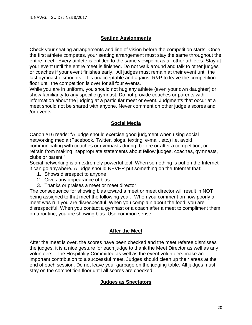# **Seating Assignments**

Check your seating arrangements and line of vision before the competition starts. Once the first athlete competes, your seating arrangement must stay the same throughout the entire meet. Every athlete is entitled to the same viewpoint as all other athletes. Stay at your event until the entire meet is finished. Do not walk around and talk to other judges or coaches if your event finishes early. All judges must remain at their event until the last gymnast dismounts. It is unacceptable and against R&P to leave the competition floor until the competition is over for all four events.

While you are in uniform, you should not hug any athlete (even your own daughter) or show familiarity to any specific gymnast. Do not provide coaches or parents with information about the judging at a particular meet or event. Judgments that occur at a meet should not be shared with anyone. Never comment on other judge's scores and /or events.

# **Social Media**

Canon #16 reads: "A judge should exercise good judgment when using social networking media (Facebook, Twitter, blogs, texting, e-mail, etc.) i.e. avoid communicating with coaches or gymnasts during, before or after a competition; or refrain from making inappropriate statements about fellow judges, coaches, gymnasts, clubs or parent."

Social networking is an extremely powerful tool. When something is put on the Internet it can go anywhere. A judge should NEVER put something on the Internet that:

- 1. Shows disrespect to anyone
- 2. Gives any appearance of bias
- 3. Thanks or praises a meet or meet director

The consequence for showing bias toward a meet or meet director will result in NOT being assigned to that meet the following year. When you comment on how poorly a meet was run you are disrespectful. When you complain about the food, you are disrespectful. When you contact a gymnast or a coach after a meet to compliment them on a routine, you are showing bias. Use common sense.

# **After the Meet**

After the meet is over, the scores have been checked and the meet referee dismisses the judges, it is a nice gesture for each judge to thank the Meet Director as well as any volunteers. The Hospitality Committee as well as the event volunteers make an important contribution to a successful meet. Judges should clean up their areas at the end of each session. Do not leave your garbage on the judging table. All judges must stay on the competition floor until all scores are checked.

# **Judges as Spectators**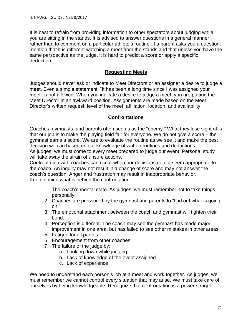It is best to refrain from providing information to other spectators about judging while you are sitting in the stands. It is advised to answer questions in a general manner rather than to comment on a particular athlete's routine. If a parent asks you a question, mention that it is different watching a meet from the stands and that unless you have the same perspective as the judge, it is hard to predict a score or apply a specific deduction.

#### **Requesting Meets**

Judges should never ask or indicate to Meet Directors or an assigner a desire to judge a meet. Even a simple statement, "It has been a long time since I was assigned your meet" is not allowed. When you indicate a desire to judge a meet, you are putting the Meet Director in an awkward position. Assignments are made based on the Meet Director's written request, level of the meet, affiliation, location, and availability.

# **Confrontations**

Coaches, gymnasts, and parents often see us as the "enemy." What they lose sight of is that our job is to make the playing field fair for everyone. We do not give a score – the gymnast earns a score. We are to evaluate the routine as we see it and make the best decision we can based on our knowledge of written routines and deductions.

As judges, we must come to every meet prepared to judge our event. Personal study will take away the strain of unsure actions.

Confrontation with coaches can occur when our decisions do not seem appropriate to the coach. An inquiry may not result in a change of score and may not answer the coach's question. Anger and frustration may result in inappropriate behavior. Keep in mind what is behind the confrontation:

- 1. The coach's mental state. As judges, we must remember not to take things personally.
- 2. Coaches are pressured by the gymnast and parents to "find out what is going on."
- 3. The emotional attachment between the coach and gymnast will tighten their bond.
- 4. Perception is different. The coach may see the gymnast has made major improvement in one area, but has failed to see other mistakes in other areas.
- 5. Fatigue for all parties.
- 6. Encouragement from other coaches
- 7. The failure of the judge by:
	- a. Looking down while judging
	- b. Lack of knowledge of the event assigned
	- c. Lack of experience

We need to understand each person's job at a meet and work together. As judges, we must remember we cannot control every situation that may arise. We must take care of ourselves by being knowledgeable. Recognize that confrontation is a power struggle.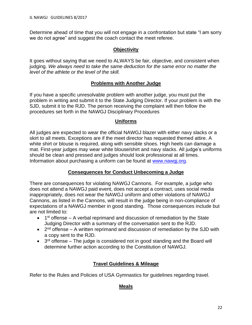Determine ahead of time that you will not engage in a confrontation but state "I am sorry we do not agree" and suggest the coach contact the meet referee.

# **Objectivity**

It goes without saying that we need to ALWAYS be fair, objective, and consistent when judging. *We always need to take the same deduction for the same error no matter the level of the athlete or the level of the skill.*

#### **Problems with Another Judge**

If you have a specific unresolvable problem with another judge, you must put the problem in writing and submit it to the State Judging Director. If your problem is with the SJD, submit it to the RJD. The person receiving the complaint will then follow the procedures set forth in the NAWGJ Disciplinary Procedures

#### **Uniforms**

All judges are expected to wear the official NAWGJ blazer with either navy slacks or a skirt to all meets. Exceptions are if the meet director has requested themed attire. A white shirt or blouse is required, along with sensible shoes. High heels can damage a mat. First-year judges may wear white blouse/shirt and navy slacks. All judge's uniforms should be clean and pressed and judges should look professional at all times. Information about purchasing a uniform can be found at [www.nawgj.org.](http://www.nawgj.org/)

# **Consequences for Conduct Unbecoming a Judge**

There are consequences for violating NAWGJ Cannons. For example, a judge who does not attend a NAWGJ paid event, does not accept a contract, uses social media inappropriately, does not wear the NAWGJ uniform and other violations of NAWGJ Cannons, as listed in the Cannons, will result in the judge being in non-compliance of expectations of a NAWGJ member in good standing. Those consequences include but are not limited to:

- $\bullet$  1<sup>st</sup> offense A verbal reprimand and discussion of remediation by the State Judging Director with a summary of the conversation sent to the RJD.
- $\bullet$  2<sup>nd</sup> offense A written reprimand and discussion of remediation by the SJD with a copy sent to the RJD.
- $\bullet$  3<sup>rd</sup> offense The judge is considered not in good standing and the Board will determine further action according to the Constitution of NAWGJ.

# **Travel Guidelines & Mileage**

Refer to the Rules and Policies of USA Gymnastics for guidelines regarding travel.

# **Meals**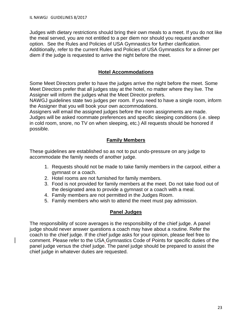Judges with dietary restrictions should bring their own meals to a meet. If you do not like the meal served, you are not entitled to a per diem nor should you request another option. See the Rules and Policies of USA Gymnastics for further clarification. Additionally, refer to the current Rules and Policies of USA Gymnastics for a dinner per diem if the judge is requested to arrive the night before the meet.

# **Hotel Accommodations**

Some Meet Directors prefer to have the judges arrive the night before the meet. Some Meet Directors prefer that all judges stay at the hotel, no matter where they live. The Assigner will inform the judges what the Meet Director prefers.

NAWGJ guidelines state two judges per room. If you need to have a single room, inform the Assigner that you will book your own accommodations.

Assigners will email the assigned judges before the room assignments are made. Judges will be asked roommate preferences and specific sleeping conditions (i.e. sleep in cold room, snore, no TV on when sleeping, etc.) All requests should be honored if possible.

# **Family Members**

These guidelines are established so as not to put undo-pressure on any judge to accommodate the family needs of another judge.

- 1. Requests should not be made to take family members in the carpool, either a gymnast or a coach.
- 2. Hotel rooms are not furnished for family members.
- 3. Food is not provided for family members at the meet. Do not take food out of the designated area to provide a gymnast or a coach with a meal.
- 4. Family members are not permitted in the Judges Room.
- 5. Family members who wish to attend the meet must pay admission.

# **Panel Judges**

The responsibility of score averages is the responsibility of the chief judge. A panel judge should never answer questions a coach may have about a routine. Refer the coach to the chief judge. If the chief judge asks for your opinion, please feel free to comment. Please refer to the USA Gymnastics Code of Points for specific duties of the panel judge versus the chief judge. The panel judge should be prepared to assist the chief judge in whatever duties are requested.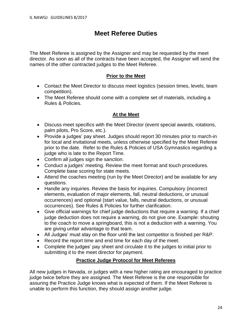# **Meet Referee Duties**

The Meet Referee is assigned by the Assigner and may be requested by the meet director. As soon as all of the contracts have been accepted, the Assigner will send the names of the other contracted judges to the Meet Referee.

# **Prior to the Meet**

- Contact the Meet Director to discuss meet logistics (session times, levels, team competition).
- The Meet Referee should come with a complete set of materials, including a Rules & Policies.

# **At the Meet**

- Discuss meet specifics with the Meet Director (event special awards, rotations, palm pilots, Pro Score, etc.).
- Provide a judges' pay sheet. Judges should report 30 minutes prior to march-in for local and invitational meets, unless otherwise specified by the Meet Referee prior to the date. Refer to the Rules & Policies of USA Gymnastics regarding a judge who is late to the Report Time.
- Confirm all judges sign the sanction.
- Conduct a judges' meeting. Review the meet format and touch procedures. Complete base scoring for state meets.
- Attend the coaches meeting (run by the Meet Director) and be available for any questions.
- Handle any inquiries. Review the basis for inquiries. Compulsory (incorrect elements, evaluation of major elements, fall, neutral deductions, or unusual occurrences) and optional (start value, falls, neutral deductions, or unusual occurrences). See Rules & Policies for further clarification.
- Give official warnings for chief judge deductions that require a warning. If a chief judge deduction does not require a warning, do not give one. Example: shouting to the coach to move a springboard, this is not a deduction with a warning. You are giving unfair advantage to that team.
- All Judges' must stay on the floor until the last competitor is finished per R&P.
- Record the report time and end time for each day of the meet.
- Complete the judges' pay sheet and circulate it to the judges to initial prior to submitting it to the meet director for payment.

# **Practice Judge Protocol for Meet Referees**

All new judges in Nevada, or judges with a new higher rating are encouraged to practice judge twice before they are assigned. The Meet Referee is the one responsible for assuring the Practice Judge knows what is expected of them. If the Meet Referee is unable to perform this function, they should assign another judge.